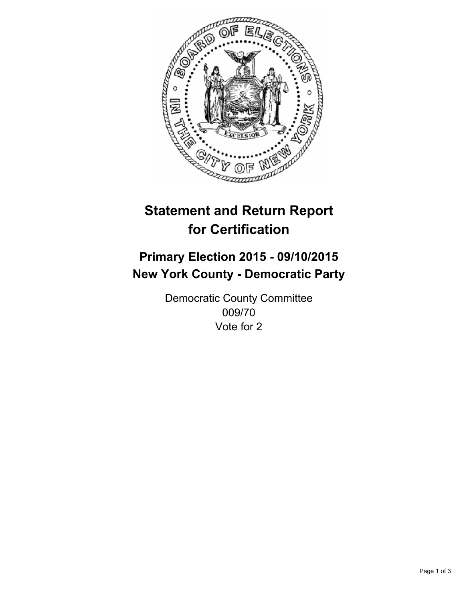

# **Statement and Return Report for Certification**

## **Primary Election 2015 - 09/10/2015 New York County - Democratic Party**

Democratic County Committee 009/70 Vote for 2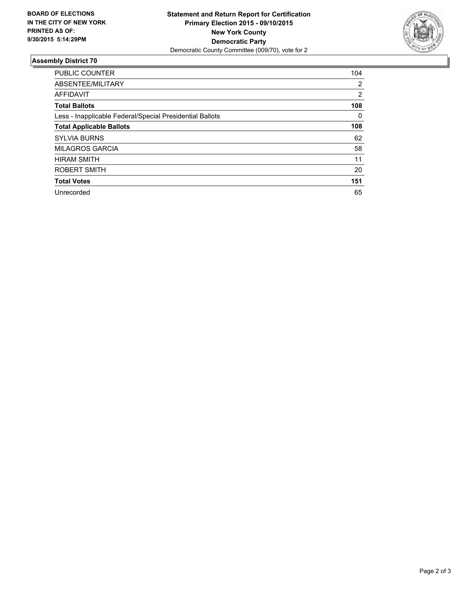

#### **Assembly District 70**

| <b>PUBLIC COUNTER</b>                                    | 104            |
|----------------------------------------------------------|----------------|
| ABSENTEE/MILITARY                                        | $\overline{2}$ |
| <b>AFFIDAVIT</b>                                         | 2              |
| <b>Total Ballots</b>                                     | 108            |
| Less - Inapplicable Federal/Special Presidential Ballots | 0              |
| <b>Total Applicable Ballots</b>                          | 108            |
| <b>SYLVIA BURNS</b>                                      | 62             |
| <b>MILAGROS GARCIA</b>                                   | 58             |
| <b>HIRAM SMITH</b>                                       | 11             |
| ROBERT SMITH                                             | 20             |
| <b>Total Votes</b>                                       | 151            |
| Unrecorded                                               | 65             |